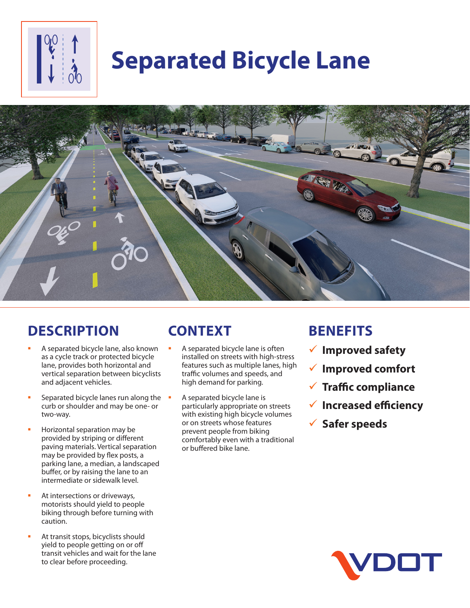# **Separated Bicycle Lane**



### **DESCRIPTION**

- A separated bicycle lane, also known as a cycle track or protected bicycle lane, provides both horizontal and vertical separation between bicyclists and adjacent vehicles.
- Separated bicycle lanes run along the curb or shoulder and may be one- or two-way.
- Horizontal separation may be provided by striping or different paving materials. Vertical separation may be provided by flex posts, a parking lane, a median, a landscaped buffer, or by raising the lane to an intermediate or sidewalk level.
- At intersections or driveways, motorists should yield to people biking through before turning with caution.
- At transit stops, bicyclists should yield to people getting on or off transit vehicles and wait for the lane to clear before proceeding.

## **CONTEXT**

- A separated bicycle lane is often installed on streets with high-stress features such as multiple lanes, high traffic volumes and speeds, and high demand for parking.
- A separated bicycle lane is particularly appropriate on streets with existing high bicycle volumes or on streets whose features prevent people from biking comfortably even with a traditional or buffered bike lane.

### **BENEFITS**

- 9 **Improved safety**
- 9 **Improved comfort**
- 9 **Traffic compliance**
- 9 **Increased efficiency**
- 9 **Safer speeds**